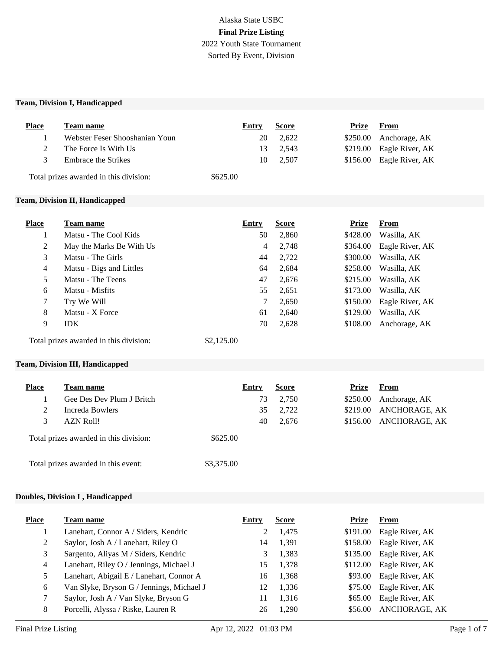# Alaska State USBC **Final Prize Listing** 2022 Youth State Tournament Sorted By Event, Division

#### **Team, Division I, Handicapped**

| <b>Place</b> | Team name                                                 | Entry                                     | <b>Score</b> | Prize    | From                                                 |  |
|--------------|-----------------------------------------------------------|-------------------------------------------|--------------|----------|------------------------------------------------------|--|
|              | Webster Feser Shooshanian Youn                            | 20                                        | 2,622        | \$250.00 | Anchorage, AK                                        |  |
| 2            | The Force Is With Us                                      | 13                                        | 2,543        | \$219.00 | Eagle River, AK                                      |  |
| 3            | <b>Embrace the Strikes</b>                                | 10                                        | 2,507        | \$156.00 | Eagle River, AK                                      |  |
|              | Total prizes awarded in this division:                    | \$625.00                                  |              |          |                                                      |  |
|              | Team, Division II, Handicapped                            |                                           |              |          |                                                      |  |
|              |                                                           |                                           |              |          |                                                      |  |
| <b>Place</b> | Team name                                                 | Entry                                     | <b>Score</b> | Prize    | From                                                 |  |
|              | $M_{\text{other}}$ The $C_{\text{cell}}$ $U_{\text{eff}}$ | $\epsilon$ <sup><math>\alpha</math></sup> | 2000         |          | $0.420 \Omega \Omega$ $W_{\text{tot}}$ $11.4 \Omega$ |  |

|                | Matsu - The Cool Kids                  | 50         | 2,860 | \$428.00 | Wasilla, AK     |
|----------------|----------------------------------------|------------|-------|----------|-----------------|
| 2              | May the Marks Be With Us               | 4          | 2,748 | \$364.00 | Eagle River, AK |
| 3              | Matsu - The Girls                      | 44         | 2,722 | \$300.00 | Wasilla, AK     |
| $\overline{4}$ | Matsu - Bigs and Littles               | 64         | 2,684 | \$258.00 | Wasilla, AK     |
| 5              | Matsu - The Teens                      | 47         | 2,676 | \$215.00 | Wasilla, AK     |
| 6              | Matsu - Misfits                        | 55         | 2,651 | \$173.00 | Wasilla, AK     |
| 7              | Try We Will                            | 7          | 2,650 | \$150.00 | Eagle River, AK |
| 8              | Matsu - X Force                        | 61         | 2,640 | \$129.00 | Wasilla, AK     |
| 9              | <b>IDK</b>                             | 70         | 2,628 | \$108.00 | Anchorage, AK   |
|                | Total prizes awarded in this division: | \$2,125.00 |       |          |                 |

#### **Team, Division III, Handicapped**

| <b>Place</b> | <b>Team name</b>                       | Entry      | <b>Score</b> | <b>Prize</b> | From          |
|--------------|----------------------------------------|------------|--------------|--------------|---------------|
|              | Gee Des Dev Plum J Britch              | 73         | 2,750        | \$250.00     | Anchorage, AK |
|              | Increda Bowlers                        | 35         | 2,722        | \$219.00     | ANCHORAGE, AK |
| 3            | AZN Roll!                              | 40         | 2,676        | \$156.00     | ANCHORAGE, AK |
|              | Total prizes awarded in this division: | \$625.00   |              |              |               |
|              | Total prizes awarded in this event:    | \$3,375.00 |              |              |               |

#### **Doubles, Division I , Handicapped**

| <b>Place</b> | Team name                                 | Entry | <b>Score</b> | Prize    | From                 |
|--------------|-------------------------------------------|-------|--------------|----------|----------------------|
|              | Lanehart, Connor A / Siders, Kendric      |       | 1,475        | \$191.00 | Eagle River, AK      |
| 2            | Saylor, Josh A / Lanehart, Riley O        | 14    | 1,391        | \$158.00 | Eagle River, AK      |
| 3            | Sargento, Aliyas M / Siders, Kendric      |       | 1,383        | \$135.00 | Eagle River, AK      |
| 4            | Lanehart, Riley O / Jennings, Michael J   | 15    | 1,378        | \$112.00 | Eagle River, AK      |
| 5.           | Lanehart, Abigail E / Lanehart, Connor A  | 16    | 1,368        | \$93.00  | Eagle River, AK      |
| 6            | Van Slyke, Bryson G / Jennings, Michael J | 12    | 1,336        | \$75.00  | Eagle River, AK      |
|              | Saylor, Josh A / Van Slyke, Bryson G      | 11    | 1,316        | \$65.00  | Eagle River, AK      |
| 8            | Porcelli, Alyssa / Riske, Lauren R        | 26    | 1.290        | \$56.00  | <b>ANCHORAGE, AK</b> |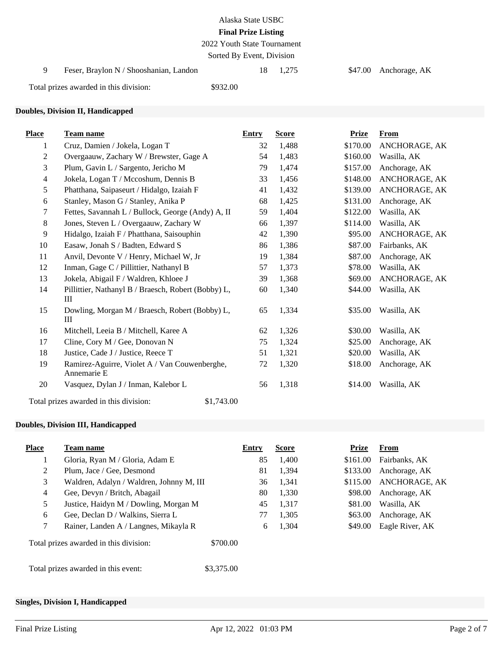| Alaska State USBC          |
|----------------------------|
| <b>Final Prize Listing</b> |

2022 Youth State Tournament

Sorted By Event, Division

9 Feser, Braylon N / Shooshanian, Landon 18 1,275 \$47.00 Anchorage, AK

Total prizes awarded in this division: \$932.00

#### **Doubles, Division II, Handicapped**

| <b>Place</b>   | <b>Team name</b>                                             | <b>Entry</b> | <b>Score</b> | <b>Prize</b> | <b>From</b>   |
|----------------|--------------------------------------------------------------|--------------|--------------|--------------|---------------|
| 1              | Cruz, Damien / Jokela, Logan T                               | 32           | 1,488        | \$170.00     | ANCHORAGE, AK |
| $\overline{c}$ | Overgaauw, Zachary W / Brewster, Gage A                      | 54           | 1,483        | \$160.00     | Wasilla, AK   |
| 3              | Plum, Gavin L / Sargento, Jericho M                          | 79           | 1,474        | \$157.00     | Anchorage, AK |
| $\overline{4}$ | Jokela, Logan T / Mccoshum, Dennis B                         | 33           | 1,456        | \$148.00     | ANCHORAGE, AK |
| 5              | Phatthana, Saipaseurt / Hidalgo, Izaiah F                    | 41           | 1,432        | \$139.00     | ANCHORAGE, AK |
| 6              | Stanley, Mason G / Stanley, Anika P                          | 68           | 1,425        | \$131.00     | Anchorage, AK |
| 7              | Fettes, Savannah L / Bullock, George (Andy) A, II            | 59           | 1,404        | \$122.00     | Wasilla, AK   |
| 8              | Jones, Steven L / Overgaauw, Zachary W                       | 66           | 1,397        | \$114.00     | Wasilla, AK   |
| $\overline{9}$ | Hidalgo, Izaiah F / Phatthana, Saisouphin                    | 42           | 1,390        | \$95.00      | ANCHORAGE, AK |
| 10             | Easaw, Jonah S / Badten, Edward S                            | 86           | 1,386        | \$87.00      | Fairbanks, AK |
| 11             | Anvil, Devonte V / Henry, Michael W, Jr                      | 19           | 1,384        | \$87.00      | Anchorage, AK |
| 12             | Inman, Gage C / Pillittier, Nathanyl B                       | 57           | 1,373        | \$78.00      | Wasilla, AK   |
| 13             | Jokela, Abigail F / Waldren, Khloee J                        | 39           | 1,368        | \$69.00      | ANCHORAGE, AK |
| 14             | Pillittier, Nathanyl B / Braesch, Robert (Bobby) L,<br>Ш     | 60           | 1,340        | \$44.00      | Wasilla, AK   |
| 15             | Dowling, Morgan M / Braesch, Robert (Bobby) L,<br>Ш          | 65           | 1,334        | \$35.00      | Wasilla, AK   |
| 16             | Mitchell, Leeia B / Mitchell, Karee A                        | 62           | 1,326        | \$30.00      | Wasilla, AK   |
| 17             | Cline, Cory M / Gee, Donovan N                               | 75           | 1,324        | \$25.00      | Anchorage, AK |
| 18             | Justice, Cade J / Justice, Reece T                           | 51           | 1,321        | \$20.00      | Wasilla, AK   |
| 19             | Ramirez-Aguirre, Violet A / Van Couwenberghe,<br>Annemarie E | 72           | 1,320        | \$18.00      | Anchorage, AK |
| 20             | Vasquez, Dylan J / Inman, Kalebor L                          | 56           | 1,318        | \$14.00      | Wasilla, AK   |
|                | Total prizes awarded in this division:<br>\$1,743.00         |              |              |              |               |

### **Doubles, Division III, Handicapped**

| <b>Place</b>   | <b>Team name</b>                         | Entry      | <b>Score</b> | Prize    | From            |
|----------------|------------------------------------------|------------|--------------|----------|-----------------|
|                | Gloria, Ryan M / Gloria, Adam E          | 85         | 1.400        | \$161.00 | Fairbanks, AK   |
| $\overline{2}$ | Plum, Jace / Gee, Desmond                | 81         | 1.394        | \$133.00 | Anchorage, AK   |
| 3              | Waldren, Adalyn / Waldren, Johnny M, III | 36         | 1.341        | \$115.00 | ANCHORAGE, AK   |
| $\overline{4}$ | Gee, Devyn / Britch, Abagail             | 80         | 1,330        | \$98.00  | Anchorage, AK   |
| 5              | Justice, Haidyn M / Dowling, Morgan M    | 45         | 1,317        | \$81.00  | Wasilla, AK     |
| 6              | Gee, Declan D / Walkins, Sierra L        | 77         | 1,305        | \$63.00  | Anchorage, AK   |
| 7              | Rainer, Landen A / Langnes, Mikayla R    | 6          | 1,304        | \$49.00  | Eagle River, AK |
|                | Total prizes awarded in this division:   | \$700.00   |              |          |                 |
|                | Total prizes awarded in this event:      | \$3,375.00 |              |          |                 |

### **Singles, Division I, Handicapped**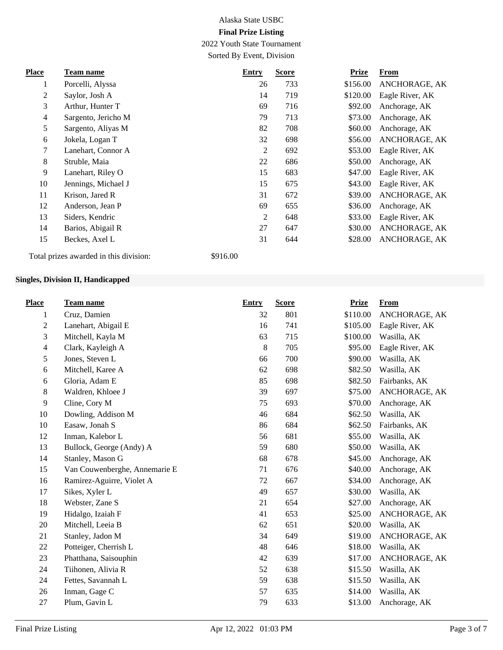2022 Youth State Tournament Sorted By Event, Division

**Place Team name Entry Score Prize From** 1 Porcelli, Alyssa 26 733 \$156.00 ANCHORAGE, AK 2 Saylor, Josh A 14 719 \$120.00 Eagle River, AK 3 Arthur, Hunter T 69 716 \$92.00 Anchorage, AK 4 Sargento, Jericho M 79 713 \$73.00 Anchorage, AK 5 Sargento, Aliyas M 82 708 \$60.00 Anchorage, AK 6 Jokela, Logan T 32 698 \$56.00 ANCHORAGE, AK 7 Lanehart, Connor A 2 692 \$53.00 Eagle River, AK 8 Struble, Maia 22 686 \$50.00 Anchorage, AK 9 Lanehart, Riley O 15 683 \$47.00 Eagle River, AK 10 Jennings, Michael J 15 675 \$43.00 Eagle River, AK 11 Krison, Jared R 31 672 \$39.00 ANCHORAGE, AK 12 Anderson, Jean P 69 655 \$36.00 Anchorage, AK 13 Siders, Kendric 2 648 \$33.00 Eagle River, AK 14 Barios, Abigail R 27 647 \$30.00 ANCHORAGE, AK 15 Beckes, Axel L 31 644 \$28.00 ANCHORAGE, AK

Total prizes awarded in this division: \$916.00

#### **Singles, Division II, Handicapped**

| <b>Place</b>   | <b>Team name</b>              | <b>Entry</b> | <b>Score</b> | <b>Prize</b> | <b>From</b>     |
|----------------|-------------------------------|--------------|--------------|--------------|-----------------|
| 1              | Cruz, Damien                  | 32           | 801          | \$110.00     | ANCHORAGE, AK   |
| $\overline{c}$ | Lanehart, Abigail E           | 16           | 741          | \$105.00     | Eagle River, AK |
| 3              | Mitchell, Kayla M             | 63           | 715          | \$100.00     | Wasilla, AK     |
| 4              | Clark, Kayleigh A             | $8\,$        | 705          | \$95.00      | Eagle River, AK |
| 5              | Jones, Steven L               | 66           | 700          | \$90.00      | Wasilla, AK     |
| 6              | Mitchell, Karee A             | 62           | 698          | \$82.50      | Wasilla, AK     |
| 6              | Gloria, Adam E                | 85           | 698          | \$82.50      | Fairbanks, AK   |
| 8              | Waldren, Khloee J             | 39           | 697          | \$75.00      | ANCHORAGE, AK   |
| 9              | Cline, Cory M                 | 75           | 693          | \$70.00      | Anchorage, AK   |
| 10             | Dowling, Addison M            | 46           | 684          | \$62.50      | Wasilla, AK     |
| 10             | Easaw, Jonah S                | 86           | 684          | \$62.50      | Fairbanks, AK   |
| 12             | Inman, Kalebor L              | 56           | 681          | \$55.00      | Wasilla, AK     |
| 13             | Bullock, George (Andy) A      | 59           | 680          | \$50.00      | Wasilla, AK     |
| 14             | Stanley, Mason G              | 68           | 678          | \$45.00      | Anchorage, AK   |
| 15             | Van Couwenberghe, Annemarie E | 71           | 676          | \$40.00      | Anchorage, AK   |
| 16             | Ramirez-Aguirre, Violet A     | 72           | 667          | \$34.00      | Anchorage, AK   |
| 17             | Sikes, Xyler L                | 49           | 657          | \$30.00      | Wasilla, AK     |
| 18             | Webster, Zane S               | 21           | 654          | \$27.00      | Anchorage, AK   |
| 19             | Hidalgo, Izaiah F             | 41           | 653          | \$25.00      | ANCHORAGE, AK   |
| 20             | Mitchell, Leeia B             | 62           | 651          | \$20.00      | Wasilla, AK     |
| 21             | Stanley, Jadon M              | 34           | 649          | \$19.00      | ANCHORAGE, AK   |
| 22             | Potteiger, Cherrish L         | 48           | 646          | \$18.00      | Wasilla, AK     |
| 23             | Phatthana, Saisouphin         | 42           | 639          | \$17.00      | ANCHORAGE, AK   |
| 24             | Tiihonen, Alivia R            | 52           | 638          | \$15.50      | Wasilla, AK     |
| 24             | Fettes, Savannah L            | 59           | 638          | \$15.50      | Wasilla, AK     |
| 26             | Inman, Gage C                 | 57           | 635          | \$14.00      | Wasilla, AK     |
| 27             | Plum, Gavin L                 | 79           | 633          | \$13.00      | Anchorage, AK   |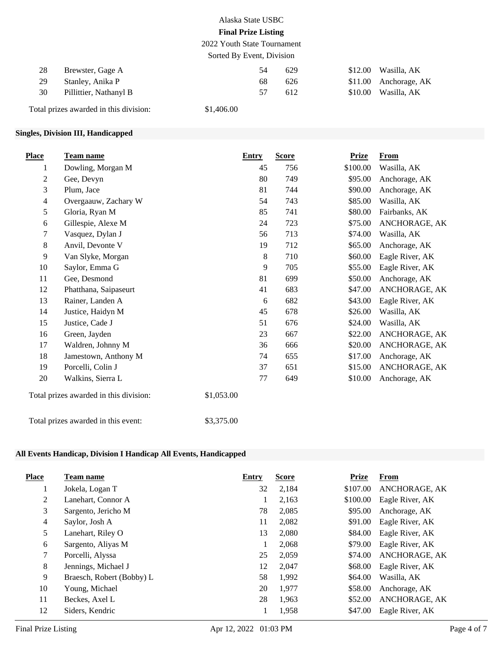2022 Youth State Tournament Sorted By Event, Division

| 28 | Brewster, Gage A       | 54 | 629 | $$12.00$ Wasilla, AK  |
|----|------------------------|----|-----|-----------------------|
| 29 | Stanley, Anika P       | 68 | 626 | \$11.00 Anchorage, AK |
| 30 | Pillittier, Nathanyl B | 57 | 612 | $$10.00$ Wasilla, AK  |

Total prizes awarded in this division: \$1,406.00

### **Singles, Division III, Handicapped**

| <b>Place</b>   | Team name                              | <b>Entry</b> | <b>Score</b> | <b>Prize</b> | <b>From</b>     |
|----------------|----------------------------------------|--------------|--------------|--------------|-----------------|
| 1              | Dowling, Morgan M                      | 45           | 756          | \$100.00     | Wasilla, AK     |
| $\overline{2}$ | Gee, Devyn                             | 80           | 749          | \$95.00      | Anchorage, AK   |
| 3              | Plum, Jace                             | 81           | 744          | \$90.00      | Anchorage, AK   |
| $\overline{4}$ | Overgaauw, Zachary W                   | 54           | 743          | \$85.00      | Wasilla, AK     |
| 5              | Gloria, Ryan M                         | 85           | 741          | \$80.00      | Fairbanks, AK   |
| 6              | Gillespie, Alexe M                     | 24           | 723          | \$75.00      | ANCHORAGE, AK   |
| 7              | Vasquez, Dylan J                       | 56           | 713          | \$74.00      | Wasilla, AK     |
| $8\,$          | Anvil, Devonte V                       | 19           | 712          | \$65.00      | Anchorage, AK   |
| 9              | Van Slyke, Morgan                      | 8            | 710          | \$60.00      | Eagle River, AK |
| 10             | Saylor, Emma G                         | 9            | 705          | \$55.00      | Eagle River, AK |
| 11             | Gee, Desmond                           | 81           | 699          | \$50.00      | Anchorage, AK   |
| 12             | Phatthana, Saipaseurt                  | 41           | 683          | \$47.00      | ANCHORAGE, AK   |
| 13             | Rainer, Landen A                       | 6            | 682          | \$43.00      | Eagle River, AK |
| 14             | Justice, Haidyn M                      | 45           | 678          | \$26.00      | Wasilla, AK     |
| 15             | Justice, Cade J                        | 51           | 676          | \$24.00      | Wasilla, AK     |
| 16             | Green, Jayden                          | 23           | 667          | \$22.00      | ANCHORAGE, AK   |
| 17             | Waldren, Johnny M                      | 36           | 666          | \$20.00      | ANCHORAGE, AK   |
| 18             | Jamestown, Anthony M                   | 74           | 655          | \$17.00      | Anchorage, AK   |
| 19             | Porcelli, Colin J                      | 37           | 651          | \$15.00      | ANCHORAGE, AK   |
| 20             | Walkins, Sierra L                      | 77           | 649          | \$10.00      | Anchorage, AK   |
|                | Total prizes awarded in this division: | \$1,053.00   |              |              |                 |
|                | Total prizes awarded in this event:    | \$3,375.00   |              |              |                 |

### **All Events Handicap, Division I Handicap All Events, Handicapped**

| <b>Place</b> | Team name                 | Entry | <b>Score</b> | <b>Prize</b> | From            |
|--------------|---------------------------|-------|--------------|--------------|-----------------|
|              | Jokela, Logan T           | 32    | 2,184        | \$107.00     | ANCHORAGE, AK   |
| 2            | Lanehart, Connor A        |       | 2,163        | \$100.00     | Eagle River, AK |
| 3            | Sargento, Jericho M       | 78    | 2,085        | \$95.00      | Anchorage, AK   |
| 4            | Saylor, Josh A            | 11    | 2,082        | \$91.00      | Eagle River, AK |
| 5            | Lanehart, Riley O         | 13    | 2,080        | \$84.00      | Eagle River, AK |
| 6            | Sargento, Aliyas M        |       | 2,068        | \$79.00      | Eagle River, AK |
| $\tau$       | Porcelli, Alyssa          | 25    | 2,059        | \$74.00      | ANCHORAGE, AK   |
| 8            | Jennings, Michael J       | 12    | 2,047        | \$68.00      | Eagle River, AK |
| 9            | Braesch, Robert (Bobby) L | 58    | 1,992        | \$64.00      | Wasilla, AK     |
| 10           | Young, Michael            | 20    | 1,977        | \$58.00      | Anchorage, AK   |
| 11           | Beckes, Axel L            | 28    | 1,963        | \$52.00      | ANCHORAGE, AK   |
| 12           | Siders, Kendric           |       | 1,958        | \$47.00      | Eagle River, AK |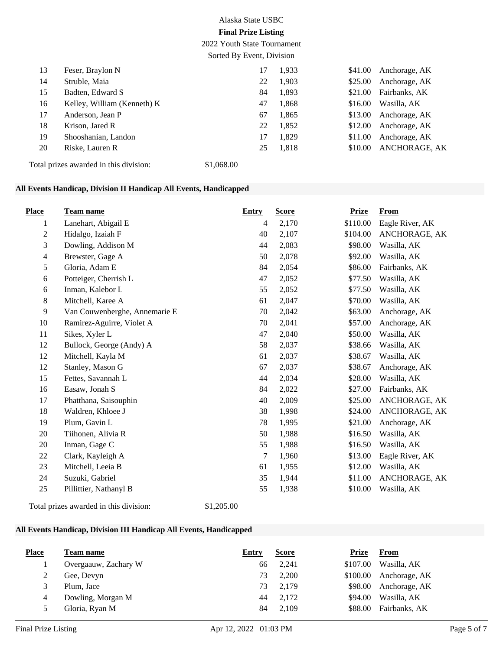2022 Youth State Tournament

Sorted By Event, Division

| 13 | Feser, Braylon N            | 17 | 1,933 | \$41.00 | Anchorage, AK        |
|----|-----------------------------|----|-------|---------|----------------------|
| 14 | Struble, Maia               | 22 | 1,903 | \$25.00 | Anchorage, AK        |
| 15 | Badten, Edward S            | 84 | 1,893 | \$21.00 | Fairbanks, AK        |
| 16 | Kelley, William (Kenneth) K | 47 | 1,868 | \$16.00 | Wasilla, AK          |
| 17 | Anderson, Jean P            | 67 | 1,865 | \$13.00 | Anchorage, AK        |
| 18 | Krison, Jared R             | 22 | 1,852 | \$12.00 | Anchorage, AK        |
| 19 | Shooshanian, Landon         | 17 | 1,829 | \$11.00 | Anchorage, AK        |
| 20 | Riske, Lauren R             | 25 | 1,818 | \$10.00 | <b>ANCHORAGE, AK</b> |
|    |                             |    |       |         |                      |

Total prizes awarded in this division: \$1,068.00

## **All Events Handicap, Division II Handicap All Events, Handicapped**

| <b>Place</b>   | Team name                              | <b>Entry</b> | <b>Score</b> | <b>Prize</b> | <b>From</b>     |
|----------------|----------------------------------------|--------------|--------------|--------------|-----------------|
| 1              | Lanehart, Abigail E                    | 4            | 2,170        | \$110.00     | Eagle River, AK |
| $\mathbf{2}$   | Hidalgo, Izaiah F                      | 40           | 2,107        | \$104.00     | ANCHORAGE, AK   |
| 3              | Dowling, Addison M                     | 44           | 2,083        | \$98.00      | Wasilla, AK     |
| $\overline{4}$ | Brewster, Gage A                       | 50           | 2,078        | \$92.00      | Wasilla, AK     |
| 5              | Gloria, Adam E                         | 84           | 2,054        | \$86.00      | Fairbanks, AK   |
| 6              | Potteiger, Cherrish L                  | 47           | 2,052        | \$77.50      | Wasilla, AK     |
| 6              | Inman, Kalebor L                       | 55           | 2,052        | \$77.50      | Wasilla, AK     |
| 8              | Mitchell, Karee A                      | 61           | 2,047        | \$70.00      | Wasilla, AK     |
| $\overline{9}$ | Van Couwenberghe, Annemarie E          | 70           | 2,042        | \$63.00      | Anchorage, AK   |
| 10             | Ramirez-Aguirre, Violet A              | 70           | 2,041        | \$57.00      | Anchorage, AK   |
| 11             | Sikes, Xyler L                         | 47           | 2,040        | \$50.00      | Wasilla, AK     |
| 12             | Bullock, George (Andy) A               | 58           | 2,037        | \$38.66      | Wasilla, AK     |
| 12             | Mitchell, Kayla M                      | 61           | 2,037        | \$38.67      | Wasilla, AK     |
| 12             | Stanley, Mason G                       | 67           | 2,037        | \$38.67      | Anchorage, AK   |
| 15             | Fettes, Savannah L                     | 44           | 2,034        | \$28.00      | Wasilla, AK     |
| 16             | Easaw, Jonah S                         | 84           | 2,022        | \$27.00      | Fairbanks, AK   |
| 17             | Phatthana, Saisouphin                  | 40           | 2,009        | \$25.00      | ANCHORAGE, AK   |
| 18             | Waldren, Khloee J                      | 38           | 1,998        | \$24.00      | ANCHORAGE, AK   |
| 19             | Plum, Gavin L                          | 78           | 1,995        | \$21.00      | Anchorage, AK   |
| 20             | Tiihonen, Alivia R                     | 50           | 1,988        | \$16.50      | Wasilla, AK     |
| 20             | Inman, Gage C                          | 55           | 1,988        | \$16.50      | Wasilla, AK     |
| 22             | Clark, Kayleigh A                      | 7            | 1,960        | \$13.00      | Eagle River, AK |
| 23             | Mitchell, Leeia B                      | 61           | 1,955        | \$12.00      | Wasilla, AK     |
| 24             | Suzuki, Gabriel                        | 35           | 1,944        | \$11.00      | ANCHORAGE, AK   |
| 25             | Pillittier, Nathanyl B                 | 55           | 1,938        | \$10.00      | Wasilla, AK     |
|                | Total prizes awarded in this division: | \$1,205.00   |              |              |                 |

### **All Events Handicap, Division III Handicap All Events, Handicapped**

| <b>Place</b> | Team name            | Entry | <b>Score</b> | Prize    | From                    |
|--------------|----------------------|-------|--------------|----------|-------------------------|
|              | Overgaauw, Zachary W | 66    | 2,241        | \$107.00 | Wasilla, AK             |
|              | Gee, Devyn           | 73    | 2,200        |          | $$100.00$ Anchorage, AK |
|              | Plum, Jace           | 73    | 2.179        | \$98.00  | Anchorage, AK           |
| 4            | Dowling, Morgan M    | 44    | 2.172        | \$94.00  | Wasilla, AK             |
|              | Gloria, Ryan M       | 84    | 2,109        | \$88.00  | Fairbanks, AK           |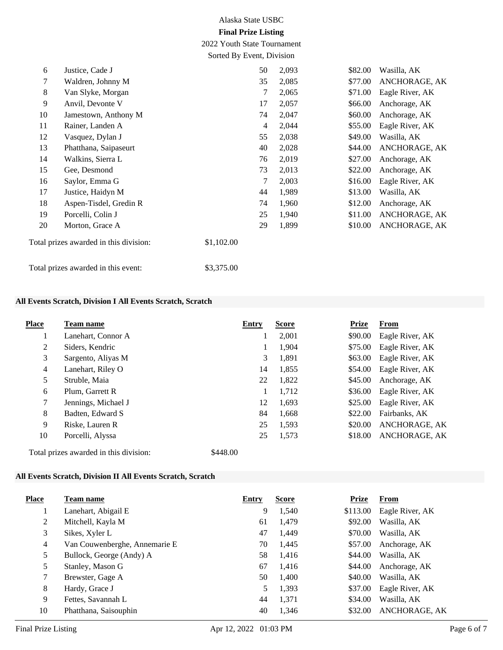2022 Youth State Tournament Sorted By Event, Division

| 6      | Justice, Cade J                        | 50         |   | 2,093 | \$82.00 | Wasilla, AK     |
|--------|----------------------------------------|------------|---|-------|---------|-----------------|
| $\tau$ | Waldren, Johnny M                      | 35         |   | 2,085 | \$77.00 | ANCHORAGE, AK   |
| 8      | Van Slyke, Morgan                      |            | 7 | 2,065 | \$71.00 | Eagle River, AK |
| 9      | Anvil, Devonte V                       | 17         |   | 2,057 | \$66.00 | Anchorage, AK   |
| 10     | Jamestown, Anthony M                   | 74         |   | 2,047 | \$60.00 | Anchorage, AK   |
| 11     | Rainer, Landen A                       |            | 4 | 2,044 | \$55.00 | Eagle River, AK |
| 12     | Vasquez, Dylan J                       | 55         |   | 2,038 | \$49.00 | Wasilla, AK     |
| 13     | Phatthana, Saipaseurt                  | 40         |   | 2,028 | \$44.00 | ANCHORAGE, AK   |
| 14     | Walkins, Sierra L                      | 76         |   | 2,019 | \$27.00 | Anchorage, AK   |
| 15     | Gee, Desmond                           | 73         |   | 2,013 | \$22.00 | Anchorage, AK   |
| 16     | Saylor, Emma G                         |            | 7 | 2,003 | \$16.00 | Eagle River, AK |
| 17     | Justice, Haidyn M                      | 44         |   | 1,989 | \$13.00 | Wasilla, AK     |
| 18     | Aspen-Tisdel, Gredin R                 | 74         |   | 1,960 | \$12.00 | Anchorage, AK   |
| 19     | Porcelli, Colin J                      | 25         |   | 1,940 | \$11.00 | ANCHORAGE, AK   |
| 20     | Morton, Grace A                        | 29         |   | 1,899 | \$10.00 | ANCHORAGE, AK   |
|        | Total prizes awarded in this division: | \$1,102.00 |   |       |         |                 |
|        | Total prizes awarded in this event:    | \$3,375.00 |   |       |         |                 |

### **All Events Scratch, Division I All Events Scratch, Scratch**

| <b>Place</b> | Team name                              | Entry    | <b>Score</b> | <b>Prize</b> | <b>From</b>     |
|--------------|----------------------------------------|----------|--------------|--------------|-----------------|
|              | Lanehart, Connor A                     |          | 2,001        | \$90.00      | Eagle River, AK |
| 2            | Siders, Kendric                        | 1        | 1,904        | \$75.00      | Eagle River, AK |
| 3            | Sargento, Aliyas M                     | 3        | 1,891        | \$63.00      | Eagle River, AK |
| 4            | Lanehart, Riley O                      | 14       | 1,855        | \$54.00      | Eagle River, AK |
| 5            | Struble, Maia                          | 22       | 1,822        | \$45.00      | Anchorage, AK   |
| 6            | Plum, Garrett R                        | 1        | 1,712        | \$36.00      | Eagle River, AK |
| 7            | Jennings, Michael J                    | 12       | 1,693        | \$25.00      | Eagle River, AK |
| 8            | Badten, Edward S                       | 84       | 1,668        | \$22.00      | Fairbanks, AK   |
| 9            | Riske, Lauren R                        | 25       | 1,593        | \$20.00      | ANCHORAGE, AK   |
| 10           | Porcelli, Alyssa                       | 25       | 1,573        | \$18.00      | ANCHORAGE, AK   |
|              | Total prizes awarded in this division: | \$448.00 |              |              |                 |

#### **All Events Scratch, Division II All Events Scratch, Scratch**

| <b>Place</b>   | Team name                     | Entry | <b>Score</b> | Prize    | From            |
|----------------|-------------------------------|-------|--------------|----------|-----------------|
|                | Lanehart, Abigail E           | 9     | 1,540        | \$113.00 | Eagle River, AK |
| 2              | Mitchell, Kayla M             | 61    | 1,479        | \$92.00  | Wasilla, AK     |
| 3              | Sikes, Xyler L                | 47    | 1,449        | \$70.00  | Wasilla, AK     |
| $\overline{4}$ | Van Couwenberghe, Annemarie E | 70    | 1,445        | \$57.00  | Anchorage, AK   |
| 5              | Bullock, George (Andy) A      | 58    | 1,416        | \$44.00  | Wasilla, AK     |
| 5              | Stanley, Mason G              | 67    | 1,416        | \$44.00  | Anchorage, AK   |
|                | Brewster, Gage A              | 50    | 1,400        | \$40.00  | Wasilla, AK     |
| 8              | Hardy, Grace J                | 5     | 1,393        | \$37.00  | Eagle River, AK |
| 9              | Fettes, Savannah L            | 44    | 1,371        | \$34.00  | Wasilla, AK     |
| 10             | Phatthana, Saisouphin         | 40    | 1,346        | \$32.00  | ANCHORAGE, AK   |